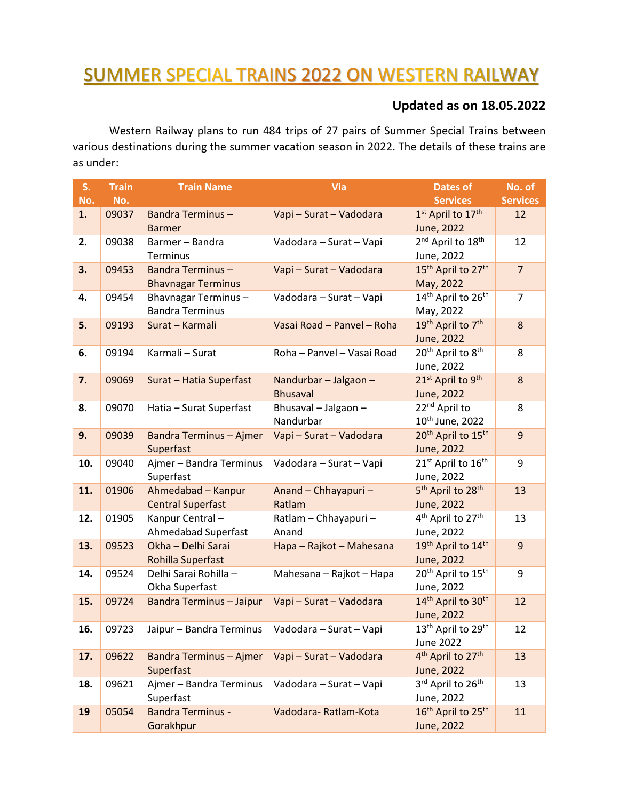## **SUMMER SPECIAL TRAINS 2022 ON WESTERN RAILWAY**

## **Updated as on 18.05.2022**

Western Railway plans to run 484 trips of 27 pairs of Summer Special Trains between various destinations during the summer vacation season in 2022. The details of these trains are as under:

| S.  | <b>Train</b> | <b>Train Name</b>               | Via                        | <b>Dates of</b>                            | No. of          |
|-----|--------------|---------------------------------|----------------------------|--------------------------------------------|-----------------|
| No. | No.          |                                 |                            | <b>Services</b>                            | <b>Services</b> |
| 1.  | 09037        | <b>Bandra Terminus -</b>        | Vapi - Surat - Vadodara    | 1st April to 17th                          | 12              |
|     |              | <b>Barmer</b>                   |                            | June, 2022                                 |                 |
| 2.  | 09038        | Barmer - Bandra                 | Vadodara - Surat - Vapi    | 2 <sup>nd</sup> April to 18 <sup>th</sup>  | 12              |
|     |              | Terminus                        |                            | June, 2022                                 |                 |
| 3.  | 09453        | <b>Bandra Terminus -</b>        | Vapi - Surat - Vadodara    | 15 <sup>th</sup> April to 27 <sup>th</sup> | $\overline{7}$  |
|     |              | <b>Bhavnagar Terminus</b>       |                            | May, 2022                                  |                 |
| 4.  | 09454        | Bhavnagar Terminus-             | Vadodara - Surat - Vapi    | 14 <sup>th</sup> April to 26 <sup>th</sup> | $\overline{7}$  |
|     |              | <b>Bandra Terminus</b>          |                            | May, 2022                                  |                 |
| 5.  | 09193        | Surat - Karmali                 | Vasai Road - Panvel - Roha | 19 <sup>th</sup> April to 7 <sup>th</sup>  | 8               |
|     |              |                                 |                            | June, 2022                                 |                 |
| 6.  | 09194        | Karmali - Surat                 | Roha - Panvel - Vasai Road | 20 <sup>th</sup> April to 8 <sup>th</sup>  | 8               |
|     |              |                                 |                            | June, 2022                                 |                 |
| 7.  | 09069        | Surat - Hatia Superfast         | Nandurbar - Jalgaon -      | 21 <sup>st</sup> April to 9 <sup>th</sup>  | $\bf 8$         |
|     |              |                                 | <b>Bhusaval</b>            | June, 2022                                 |                 |
| 8.  | 09070        | Hatia - Surat Superfast         | Bhusaval - Jalgaon -       | 22 <sup>nd</sup> April to                  | 8               |
|     |              |                                 | Nandurbar                  | 10 <sup>th</sup> June, 2022                |                 |
| 9.  | 09039        | <b>Bandra Terminus - Ajmer</b>  | Vapi - Surat - Vadodara    | 20 <sup>th</sup> April to 15 <sup>th</sup> | $\overline{9}$  |
|     |              | Superfast                       |                            | June, 2022                                 |                 |
| 10. | 09040        | Ajmer - Bandra Terminus         | Vadodara - Surat - Vapi    | 21 <sup>st</sup> April to 16 <sup>th</sup> | 9               |
|     |              | Superfast                       |                            | June, 2022                                 |                 |
| 11. | 01906        | Ahmedabad - Kanpur              | Anand - Chhayapuri -       | 5 <sup>th</sup> April to 28 <sup>th</sup>  | 13              |
|     |              | <b>Central Superfast</b>        | Ratlam                     | June, 2022                                 |                 |
| 12. | 01905        | Kanpur Central-                 | Ratlam - Chhayapuri -      | 4 <sup>th</sup> April to 27 <sup>th</sup>  | 13              |
|     |              | Ahmedabad Superfast             | Anand                      | June, 2022                                 |                 |
| 13. | 09523        | Okha - Delhi Sarai              | Hapa - Rajkot - Mahesana   | 19th April to 14th                         | $\overline{9}$  |
|     |              | Rohilla Superfast               |                            | June, 2022                                 |                 |
| 14. | 09524        | Delhi Sarai Rohilla -           | Mahesana - Rajkot - Hapa   | 20 <sup>th</sup> April to 15 <sup>th</sup> | 9               |
|     |              | Okha Superfast                  |                            | June, 2022                                 |                 |
| 15. | 09724        | <b>Bandra Terminus - Jaipur</b> | Vapi - Surat - Vadodara    | 14th April to 30th                         | 12              |
|     |              |                                 |                            | June, 2022                                 |                 |
| 16. | 09723        | Jaipur - Bandra Terminus        | Vadodara – Surat – Vapi    | 13 <sup>th</sup> April to 29 <sup>th</sup> | 12              |
|     |              |                                 |                            | <b>June 2022</b>                           |                 |
| 17. | 09622        | <b>Bandra Terminus - Ajmer</b>  | Vapi - Surat - Vadodara    | 4 <sup>th</sup> April to 27 <sup>th</sup>  | 13              |
|     |              | Superfast                       |                            | June, 2022                                 |                 |
| 18. | 09621        | Ajmer - Bandra Terminus         | Vadodara - Surat - Vapi    | 3rd April to 26th                          | 13              |
|     |              | Superfast                       |                            | June, 2022                                 |                 |
| 19  | 05054        | <b>Bandra Terminus -</b>        | Vadodara-Ratlam-Kota       | 16 <sup>th</sup> April to 25 <sup>th</sup> | 11              |
|     |              | Gorakhpur                       |                            | June, 2022                                 |                 |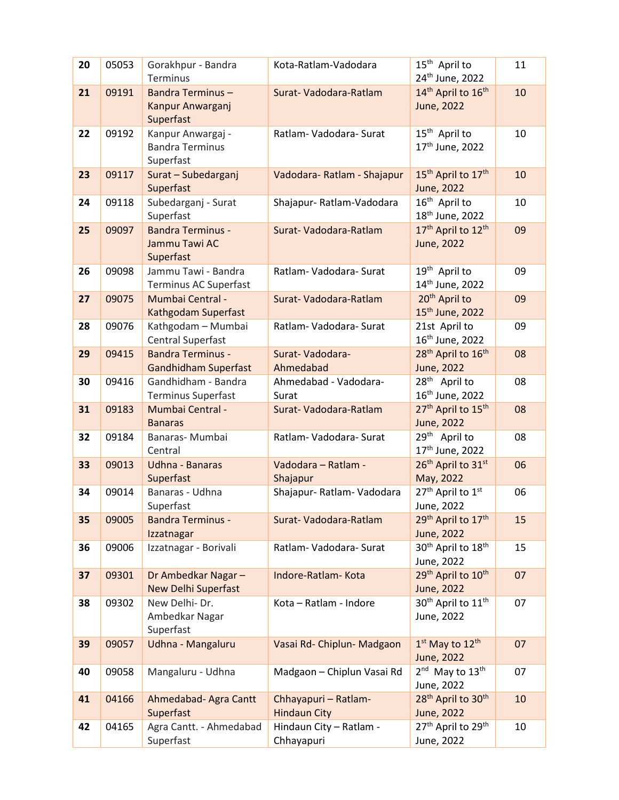| 20 | 05053 | Gorakhpur - Bandra<br>Terminus | Kota-Ratlam-Vadodara       | 15 <sup>th</sup> April to<br>24 <sup>th</sup> June, 2022 | 11 |
|----|-------|--------------------------------|----------------------------|----------------------------------------------------------|----|
| 21 | 09191 | <b>Bandra Terminus -</b>       | Surat-Vadodara-Ratlam      | 14th April to 16th                                       | 10 |
|    |       | Kanpur Anwarganj               |                            | June, 2022                                               |    |
|    |       | Superfast                      |                            |                                                          |    |
| 22 | 09192 | Kanpur Anwargaj -              | Ratlam-Vadodara-Surat      | 15 <sup>th</sup> April to                                | 10 |
|    |       | <b>Bandra Terminus</b>         |                            | 17 <sup>th</sup> June, 2022                              |    |
|    |       | Superfast                      |                            |                                                          |    |
| 23 | 09117 | Surat - Subedarganj            | Vadodara-Ratlam - Shajapur | 15 <sup>th</sup> April to 17 <sup>th</sup>               | 10 |
|    |       | Superfast                      |                            | June, 2022                                               |    |
| 24 | 09118 | Subedarganj - Surat            | Shajapur-Ratlam-Vadodara   | 16 <sup>th</sup> April to                                | 10 |
|    |       | Superfast                      |                            | 18 <sup>th</sup> June, 2022                              |    |
|    |       |                                |                            | 17 <sup>th</sup> April to 12 <sup>th</sup>               |    |
| 25 | 09097 | <b>Bandra Terminus -</b>       | Surat-Vadodara-Ratlam      |                                                          | 09 |
|    |       | Jammu Tawi AC                  |                            | June, 2022                                               |    |
|    |       | Superfast                      |                            |                                                          |    |
| 26 | 09098 | Jammu Tawi - Bandra            | Ratlam-Vadodara-Surat      | 19 <sup>th</sup> April to                                | 09 |
|    |       | Terminus AC Superfast          |                            | 14 <sup>th</sup> June, 2022                              |    |
| 27 | 09075 | <b>Mumbai Central -</b>        | Surat-Vadodara-Ratlam      | 20 <sup>th</sup> April to                                | 09 |
|    |       | Kathgodam Superfast            |                            | 15 <sup>th</sup> June, 2022                              |    |
| 28 | 09076 | Kathgodam - Mumbai             | Ratlam-Vadodara-Surat      | 21st April to                                            | 09 |
|    |       | <b>Central Superfast</b>       |                            | 16 <sup>th</sup> June, 2022                              |    |
| 29 | 09415 | <b>Bandra Terminus -</b>       | Surat-Vadodara-            | 28 <sup>th</sup> April to 16 <sup>th</sup>               | 08 |
|    |       | <b>Gandhidham Superfast</b>    | Ahmedabad                  | June, 2022                                               |    |
| 30 | 09416 | Gandhidham - Bandra            | Ahmedabad - Vadodara-      | 28 <sup>th</sup> April to                                | 08 |
|    |       | Terminus Superfast             | Surat                      | 16 <sup>th</sup> June, 2022                              |    |
| 31 | 09183 | Mumbai Central -               | Surat-Vadodara-Ratlam      | 27 <sup>th</sup> April to 15 <sup>th</sup>               | 08 |
|    |       | <b>Banaras</b>                 |                            | June, 2022                                               |    |
| 32 | 09184 | Banaras- Mumbai                | Ratlam-Vadodara-Surat      | 29 <sup>th</sup> April to                                | 08 |
|    |       | Central                        |                            | 17th June, 2022                                          |    |
| 33 | 09013 | Udhna - Banaras                | Vadodara - Ratlam -        | 26th April to 31st                                       | 06 |
|    |       | Superfast                      | Shajapur                   | May, 2022                                                |    |
| 34 | 09014 | Banaras - Udhna                | Shajapur- Ratlam- Vadodara | 27 <sup>th</sup> April to 1st                            | 06 |
|    |       | Superfast                      |                            | June, 2022                                               |    |
| 35 | 09005 | <b>Bandra Terminus -</b>       | Surat-Vadodara-Ratlam      | 29th April to 17th                                       | 15 |
|    |       | Izzatnagar                     |                            | June, 2022                                               |    |
| 36 | 09006 | Izzatnagar - Borivali          | Ratlam-Vadodara-Surat      | 30 <sup>th</sup> April to 18 <sup>th</sup>               | 15 |
|    |       |                                |                            | June, 2022                                               |    |
| 37 | 09301 | Dr Ambedkar Nagar-             | Indore-Ratlam-Kota         | 29th April to 10th                                       | 07 |
|    |       | <b>New Delhi Superfast</b>     |                            | June, 2022                                               |    |
| 38 | 09302 | New Delhi-Dr.                  | Kota - Ratlam - Indore     | 30 <sup>th</sup> April to 11 <sup>th</sup>               | 07 |
|    |       | Ambedkar Nagar                 |                            | June, 2022                                               |    |
|    |       | Superfast                      |                            |                                                          |    |
| 39 | 09057 | Udhna - Mangaluru              | Vasai Rd- Chiplun- Madgaon | $1st$ May to $12th$                                      | 07 |
|    |       |                                |                            | June, 2022                                               |    |
| 40 | 09058 | Mangaluru - Udhna              | Madgaon - Chiplun Vasai Rd | 2 <sup>nd</sup> May to 13 <sup>th</sup>                  | 07 |
|    |       |                                |                            | June, 2022                                               |    |
| 41 | 04166 | Ahmedabad- Agra Cantt          | Chhayapuri - Ratlam-       | 28 <sup>th</sup> April to 30 <sup>th</sup>               | 10 |
|    |       | Superfast                      | <b>Hindaun City</b>        | June, 2022                                               |    |
|    |       |                                |                            | 27 <sup>th</sup> April to 29 <sup>th</sup>               |    |
| 42 | 04165 | Agra Cantt. - Ahmedabad        | Hindaun City - Ratlam -    |                                                          | 10 |
|    |       | Superfast                      | Chhayapuri                 | June, 2022                                               |    |